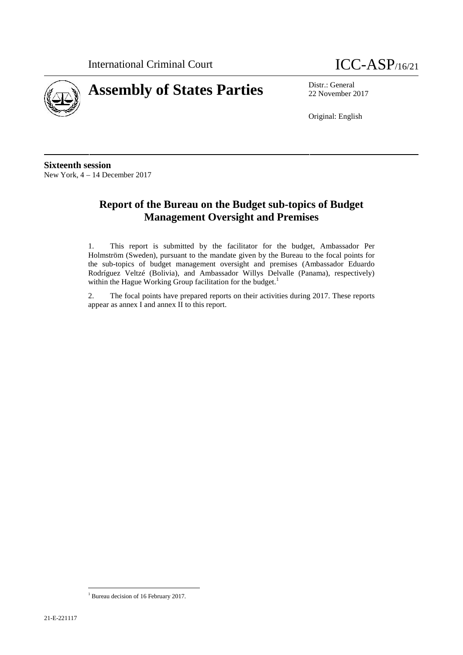



22 November 2017

Original: English

**Sixteenth session** New York, 4 – 14 December 2017

# **Report of the Bureau on the Budget sub-topics of Budget Management Oversight and Premises**

1. This report is submitted by the facilitator for the budget, Ambassador Per Holmström (Sweden), pursuant to the mandate given by the Bureau to the focal points for the sub-topics of budget management oversight and premises (Ambassador Eduardo Rodríguez Veltzé (Bolivia), and Ambassador Willys Delvalle (Panama), respectively) within the Hague Working Group facilitation for the budget.<sup>1</sup>

2. The focal points have prepared reports on their activities during 2017. These reports appear as annex I and annex II to this report.

<sup>&</sup>lt;sup>1</sup> Bureau decision of 16 February 2017.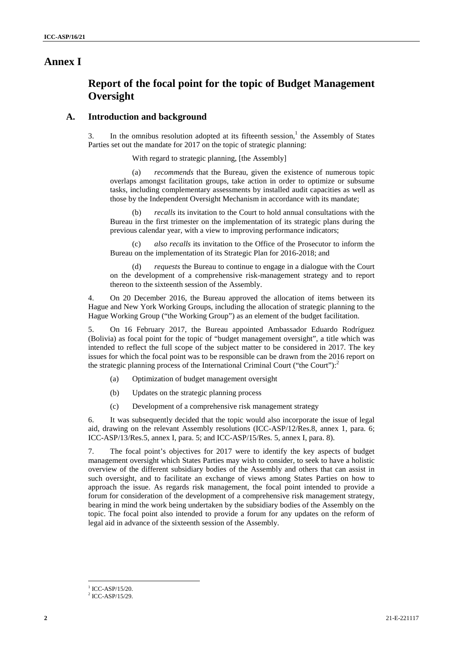## **Annex I**

# **Report of the focal point for the topic of Budget Management Oversight**

### **A. Introduction and background**

3. In the omnibus resolution adopted at its fifteenth session,<sup>1</sup> the Assembly of States Parties set out the mandate for 2017 on the topic of strategic planning:

With regard to strategic planning, [the Assembly]

(a) *recommends* that the Bureau, given the existence of numerous topic overlaps amongst facilitation groups, take action in order to optimize or subsume tasks, including complementary assessments by installed audit capacities as well as those by the Independent Oversight Mechanism in accordance with its mandate;

(b) *recalls* its invitation to the Court to hold annual consultations with the Bureau in the first trimester on the implementation of its strategic plans during the previous calendar year, with a view to improving performance indicators;

*also recalls* its invitation to the Office of the Prosecutor to inform the Bureau on the implementation of its Strategic Plan for 2016-2018; and

(d) *requests* the Bureau to continue to engage in a dialogue with the Court on the development of a comprehensive risk-management strategy and to report thereon to the sixteenth session of the Assembly.

4. On 20 December 2016, the Bureau approved the allocation of items between its Hague and New York Working Groups, including the allocation of strategic planning to the Hague Working Group ("the Working Group") as an element of the budget facilitation.

5. On 16 February 2017, the Bureau appointed Ambassador Eduardo Rodríguez (Bolivia) as focal point for the topic of "budget management oversight", a title which was intended to reflect the full scope of the subject matter to be considered in 2017. The key issues for which the focal point was to be responsible can be drawn from the 2016 report on the strategic planning process of the International Criminal Court ("the Court"):

- (a) Optimization of budget management oversight
- (b) Updates on the strategic planning process
- (c) Development of a comprehensive risk management strategy

6. It was subsequently decided that the topic would also incorporate the issue of legal aid, drawing on the relevant Assembly resolutions (ICC-ASP/12/Res.8, annex 1, para. 6; ICC-ASP/13/Res.5, annex I, para. 5; and ICC-ASP/15/Res. 5, annex I, para. 8).

7. The focal point's objectives for 2017 were to identify the key aspects of budget management oversight which States Parties may wish to consider, to seek to have a holistic overview of the different subsidiary bodies of the Assembly and others that can assist in such oversight, and to facilitate an exchange of views among States Parties on how to approach the issue. As regards risk management, the focal point intended to provide a forum for consideration of the development of a comprehensive risk management strategy, bearing in mind the work being undertaken by the subsidiary bodies of the Assembly on the topic. The focal point also intended to provide a forum for any updates on the reform of legal aid in advance of the sixteenth session of the Assembly.

 $1$  ICC-ASP/15/20.<br> $2$  ICC-ASP/15/29.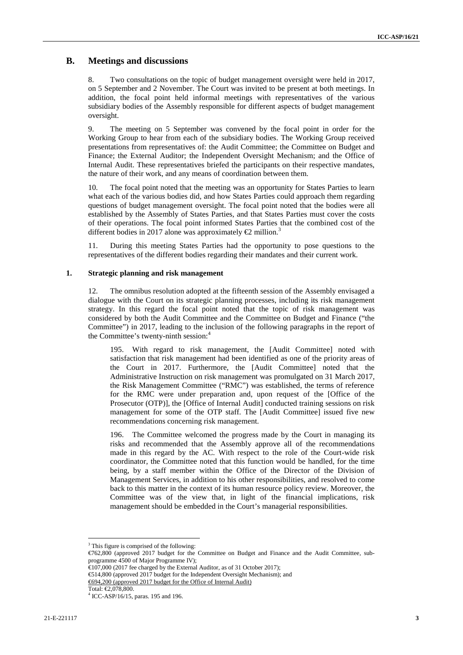## **B. Meetings and discussions**

8. Two consultations on the topic of budget management oversight were held in 2017, on 5 September and 2 November. The Court was invited to be present at both meetings. In addition, the focal point held informal meetings with representatives of the various subsidiary bodies of the Assembly responsible for different aspects of budget management oversight.

9. The meeting on 5 September was convened by the focal point in order for the Working Group to hear from each of the subsidiary bodies. The Working Group received presentations from representatives of: the Audit Committee; the Committee on Budget and Finance; the External Auditor; the Independent Oversight Mechanism; and the Office of Internal Audit. These representatives briefed the participants on their respective mandates, the nature of their work, and any means of coordination between them.

10. The focal point noted that the meeting was an opportunity for States Parties to learn what each of the various bodies did, and how States Parties could approach them regarding questions of budget management oversight. The focal point noted that the bodies were all established by the Assembly of States Parties, and that States Parties must cover the costs of their operations. The focal point informed States Parties that the combined cost of the different bodies in 2017 alone was approximately  $\epsilon$  million.<sup>3</sup>

11. During this meeting States Parties had the opportunity to pose questions to the representatives of the different bodies regarding their mandates and their current work.

#### **1. Strategic planning and risk management**

12. The omnibus resolution adopted at the fifteenth session of the Assembly envisaged a dialogue with the Court on its strategic planning processes, including its risk management strategy. In this regard the focal point noted that the topic of risk management was considered by both the Audit Committee and the Committee on Budget and Finance ("the Committee") in 2017, leading to the inclusion of the following paragraphs in the report of the Committee's twenty-ninth session:<sup>4</sup>

195. With regard to risk management, the [Audit Committee] noted with satisfaction that risk management had been identified as one of the priority areas of the Court in 2017. Furthermore, the [Audit Committee] noted that the Administrative Instruction on risk management was promulgated on 31 March 2017, the Risk Management Committee ("RMC") was established, the terms of reference for the RMC were under preparation and, upon request of the [Office of the Prosecutor (OTP)], the [Office of Internal Audit] conducted training sessions on risk management for some of the OTP staff. The [Audit Committee] issued five new recommendations concerning risk management.

196. The Committee welcomed the progress made by the Court in managing its risks and recommended that the Assembly approve all of the recommendations made in this regard by the AC. With respect to the role of the Court-wide risk coordinator, the Committee noted that this function would be handled, for the time being, by a staff member within the Office of the Director of the Division of Management Services, in addition to his other responsibilities, and resolved to come back to this matter in the context of its human resource policy review. Moreover, the Committee was of the view that, in light of the financial implications, risk management should be embedded in the Court's managerial responsibilities.

€514,800 (approved 2017 budget for the Independent Oversight Mechanism); and €694,200 (approved 2017 budget for the Office of Internal Audit)

 $3$  This figure is comprised of the following:

<sup>€762,800 (</sup>approved 2017 budget for the Committee on Budget and Finance and the Audit Committee, sub programme 4500 of Major Programme IV);

 $\overline{6107,000}$  (2017 fee charged by the External Auditor, as of 31 October 2017);

Total: €2,078,800.<br><sup>4</sup> ICC-ASP/16/15, paras. 195 and 196.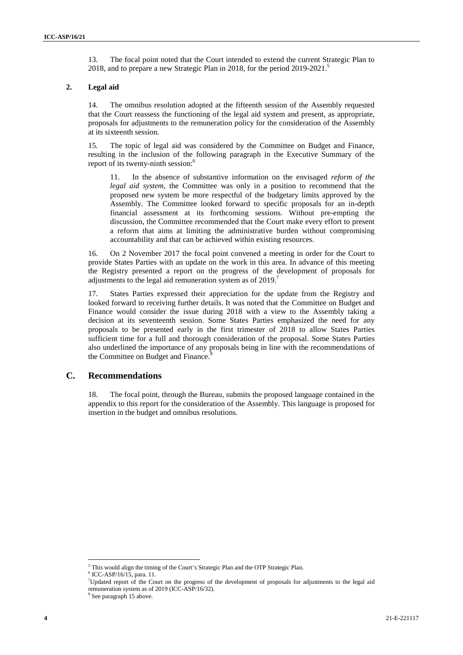13. The focal point noted that the Court intended to extend the current Strategic Plan to 2018, and to prepare a new Strategic Plan in 2018, for the period 2019-2021.<sup>5</sup>

#### **2. Legal aid**

14. The omnibus resolution adopted at the fifteenth session of the Assembly requested that the Court reassess the functioning of the legal aid system and present, as appropriate, proposals for adjustments to the remuneration policy for the consideration of the Assembly at its sixteenth session.

15. The topic of legal aid was considered by the Committee on Budget and Finance, resulting in the inclusion of the following paragraph in the Executive Summary of the report of its twenty-ninth session:<sup>6</sup>

11. In the absence of substantive information on the envisaged *reform of the legal aid system*, the Committee was only in a position to recommend that the proposed new system be more respectful of the budgetary limits approved by the Assembly. The Committee looked forward to specific proposals for an in-depth financial assessment at its forthcoming sessions. Without pre-empting the discussion, the Committee recommended that the Court make every effort to present a reform that aims at limiting the administrative burden without compromising accountability and that can be achieved within existing resources.

16. On 2 November 2017 the focal point convened a meeting in order for the Court to provide States Parties with an update on the work in this area. In advance of this meeting the Registry presented a report on the progress of the development of proposals for adjustments to the legal aid remuneration system as of  $2019$ .<sup>7</sup>

17. States Parties expressed their appreciation for the update from the Registry and looked forward to receiving further details. It was noted that the Committee on Budget and Finance would consider the issue during 2018 with a view to the Assembly taking a decision at its seventeenth session. Some States Parties emphasized the need for any proposals to be presented early in the first trimester of 2018 to allow States Parties sufficient time for a full and thorough consideration of the proposal. Some States Parties also underlined the importance of any proposals being in line with the recommendations of the Committee on Budget and Finance.<sup>8</sup>

## **C. Recommendations**

18. The focal point, through the Bureau, submits the proposed language contained in the appendix to this report for the consideration of the Assembly. This language is proposed for insertion in the budget and omnibus resolutions.

 $^5$  This would align the timing of the Court's Strategic Plan and the OTP Strategic Plan.  $^6$  ICC-ASP/16/15, para. 11.

<sup>&</sup>lt;sup>7</sup>Updated report of the Court on the progress of the development of proposals for adjustments to the legal aid remuneration system as of 2019 (ICC-ASP/16/32).<br><sup>8</sup> See paragraph 15 above.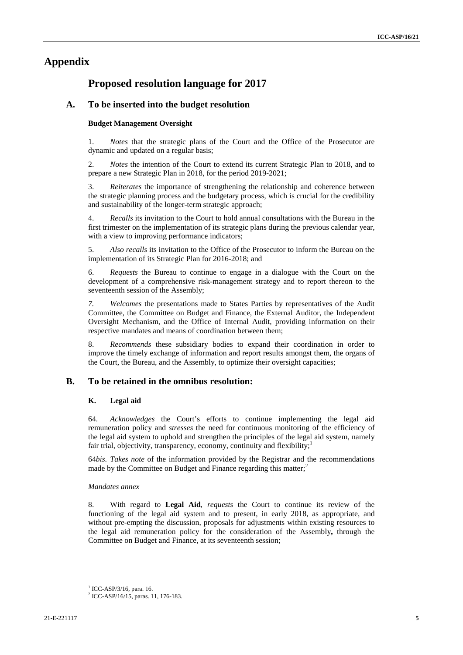# **Appendix**

# **Proposed resolution language for 2017**

## **A. To be inserted into the budget resolution**

#### **Budget Management Oversight**

1. *Notes* that the strategic plans of the Court and the Office of the Prosecutor are dynamic and updated on a regular basis;

2. *Notes* the intention of the Court to extend its current Strategic Plan to 2018, and to prepare a new Strategic Plan in 2018, for the period 2019-2021;

3. *Reiterates* the importance of strengthening the relationship and coherence between the strategic planning process and the budgetary process, which is crucial for the credibility and sustainability of the longer-term strategic approach;

4. *Recalls* its invitation to the Court to hold annual consultations with the Bureau in the first trimester on the implementation of its strategic plans during the previous calendar year, with a view to improving performance indicators:

5. *Also recalls* its invitation to the Office of the Prosecutor to inform the Bureau on the implementation of its Strategic Plan for 2016-2018; and

6. *Requests* the Bureau to continue to engage in a dialogue with the Court on the development of a comprehensive risk-management strategy and to report thereon to the seventeenth session of the Assembly;

*7. Welcomes* the presentations made to States Parties by representatives of the Audit Committee, the Committee on Budget and Finance, the External Auditor, the Independent Oversight Mechanism, and the Office of Internal Audit, providing information on their respective mandates and means of coordination between them;

8. *Recommends* these subsidiary bodies to expand their coordination in order to improve the timely exchange of information and report results amongst them, the organs of the Court, the Bureau, and the Assembly, to optimize their oversight capacities;

## **B. To be retained in the omnibus resolution:**

#### **K. Legal aid**

64. *Acknowledges* the Court's efforts to continue implementing the legal aid remuneration policy and *stresses* the need for continuous monitoring of the efficiency of the legal aid system to uphold and strengthen the principles of the legal aid system, namely fair trial, objectivity, transparency, economy, continuity and flexibility;<sup>1</sup>

64*bis*. *Takes note* of the information provided by the Registrar and the recommendations made by the Committee on Budget and Finance regarding this matter;<sup>2</sup>

#### *Mandates annex*

8. With regard to **Legal Aid**, *requests* the Court to continue its review of the functioning of the legal aid system and to present, in early 2018, as appropriate, and without pre-empting the discussion, proposals for adjustments within existing resources to the legal aid remuneration policy for the consideration of the Assembly**,** through the Committee on Budget and Finance, at its seventeenth session;

<sup>&</sup>lt;sup>1</sup> ICC-ASP/3/16, para. 16.<br><sup>2</sup> ICC-ASP/16/15, paras. 11, 176-183.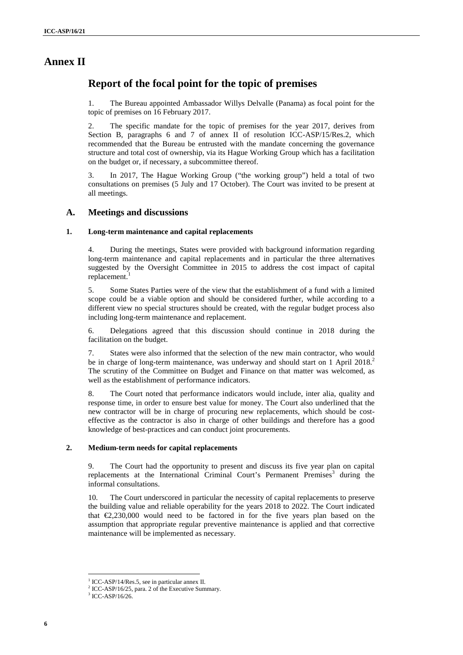# **Annex II**

# **Report of the focal point for the topic of premises**

1. The Bureau appointed Ambassador Willys Delvalle (Panama) as focal point for the topic of premises on 16 February 2017.

2. The specific mandate for the topic of premises for the year 2017, derives from Section B, paragraphs 6 and 7 of annex II of resolution ICC-ASP/15/Res.2, which recommended that the Bureau be entrusted with the mandate concerning the governance structure and total cost of ownership, via its Hague Working Group which has a facilitation on the budget or, if necessary, a subcommittee thereof.

3. In 2017, The Hague Working Group ("the working group") held a total of two consultations on premises (5 July and 17 October). The Court was invited to be present at all meetings.

## **A. Meetings and discussions**

#### **1. Long-term maintenance and capital replacements**

4. During the meetings, States were provided with background information regarding long-term maintenance and capital replacements and in particular the three alternatives suggested by the Oversight Committee in 2015 to address the cost impact of capital replacement.

5. Some States Parties were of the view that the establishment of a fund with a limited scope could be a viable option and should be considered further, while according to a different view no special structures should be created, with the regular budget process also including long-term maintenance and replacement.

6. Delegations agreed that this discussion should continue in 2018 during the facilitation on the budget.

7. States were also informed that the selection of the new main contractor, who would be in charge of long-term maintenance, was underway and should start on 1 April 2018.<sup>2</sup> The scrutiny of the Committee on Budget and Finance on that matter was welcomed, as well as the establishment of performance indicators.

8. The Court noted that performance indicators would include, inter alia, quality and response time, in order to ensure best value for money. The Court also underlined that the new contractor will be in charge of procuring new replacements, which should be cost effective as the contractor is also in charge of other buildings and therefore has a good knowledge of best-practices and can conduct joint procurements.

#### **2. Medium-term needs for capital replacements**

9. The Court had the opportunity to present and discuss its five year plan on capital replacements at the International Criminal Court's Permanent Premises<sup>3</sup> during the informal consultations.

10. The Court underscored in particular the necessity of capital replacements to preserve the building value and reliable operability for the years 2018 to 2022. The Court indicated that  $\epsilon$ 2,230,000 would need to be factored in for the five years plan based on the assumption that appropriate regular preventive maintenance is applied and that corrective maintenance will be implemented as necessary.

<sup>&</sup>lt;sup>1</sup> ICC-ASP/14/Res.5, see in particular annex II.

 $2$  ICC-ASP/16/25, para. 2 of the Executive Summary.<br> $3$  ICC-ASP/16/26.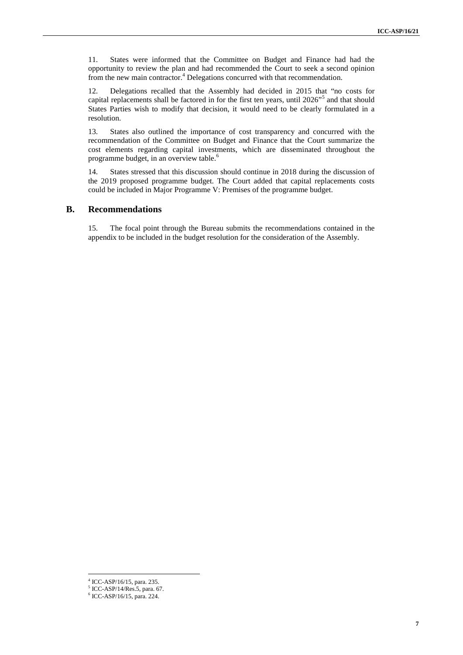11. States were informed that the Committee on Budget and Finance had had the opportunity to review the plan and had recommended the Court to seek a second opinion from the new main contractor.<sup>4</sup> Delegations concurred with that recommendation.

12. Delegations recalled that the Assembly had decided in 2015 that "no costs for capital replacements shall be factored in for the first ten years, until 2026"<sup>5</sup> and that should States Parties wish to modify that decision, it would need to be clearly formulated in a resolution.

13. States also outlined the importance of cost transparency and concurred with the recommendation of the Committee on Budget and Finance that the Court summarize the cost elements regarding capital investments, which are disseminated throughout the programme budget, in an overview table.<sup>6</sup>

14. States stressed that this discussion should continue in 2018 during the discussion of the 2019 proposed programme budget. The Court added that capital replacements costs could be included in Major Programme V: Premises of the programme budget.

### **B. Recommendations**

15. The focal point through the Bureau submits the recommendations contained in the appendix to be included in the budget resolution for the consideration of the Assembly.

 $^{4}$  ICC-ASP/16/15, para. 235.<br> $^{5}$  ICC-ASP/14/Res.5, para. 67.

 $6$  ICC-ASP/16/15, para. 224.